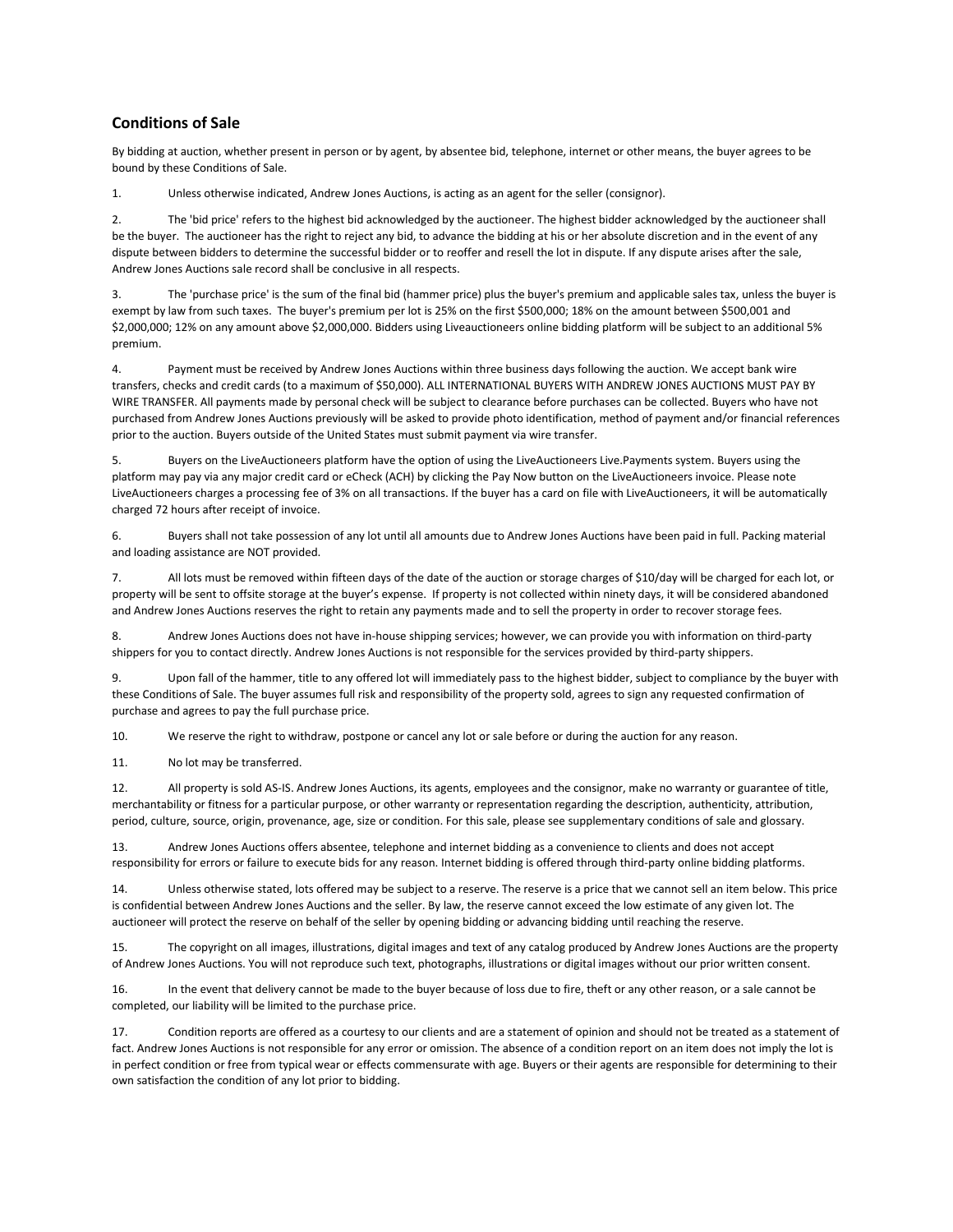## **Conditions of Sale**

By bidding at auction, whether present in person or by agent, by absentee bid, telephone, internet or other means, the buyer agrees to be bound by these Conditions of Sale.

1. Unless otherwise indicated, Andrew Jones Auctions, is acting as an agent for the seller (consignor).

2. The 'bid price' refers to the highest bid acknowledged by the auctioneer. The highest bidder acknowledged by the auctioneer shall be the buyer. The auctioneer has the right to reject any bid, to advance the bidding at his or her absolute discretion and in the event of any dispute between bidders to determine the successful bidder or to reoffer and resell the lot in dispute. If any dispute arises after the sale, Andrew Jones Auctions sale record shall be conclusive in all respects.

3. The 'purchase price' is the sum of the final bid (hammer price) plus the buyer's premium and applicable sales tax, unless the buyer is exempt by law from such taxes. The buyer's premium per lot is 25% on the first \$500,000; 18% on the amount between \$500,001 and \$2,000,000; 12% on any amount above \$2,000,000. Bidders using Liveauctioneers online bidding platform will be subject to an additional 5% premium.

4. Payment must be received by Andrew Jones Auctions within three business days following the auction. We accept bank wire transfers, checks and credit cards (to a maximum of \$50,000). ALL INTERNATIONAL BUYERS WITH ANDREW JONES AUCTIONS MUST PAY BY WIRE TRANSFER. All payments made by personal check will be subject to clearance before purchases can be collected. Buyers who have not purchased from Andrew Jones Auctions previously will be asked to provide photo identification, method of payment and/or financial references prior to the auction. Buyers outside of the United States must submit payment via wire transfer.

5. Buyers on the LiveAuctioneers platform have the option of using the LiveAuctioneers Live.Payments system. Buyers using the platform may pay via any major credit card or eCheck (ACH) by clicking the Pay Now button on the LiveAuctioneers invoice. Please note LiveAuctioneers charges a processing fee of 3% on all transactions. If the buyer has a card on file with LiveAuctioneers, it will be automatically charged 72 hours after receipt of invoice.

6. Buyers shall not take possession of any lot until all amounts due to Andrew Jones Auctions have been paid in full. Packing material and loading assistance are NOT provided.

7. All lots must be removed within fifteen days of the date of the auction or storage charges of \$10/day will be charged for each lot, or property will be sent to offsite storage at the buyer's expense. If property is not collected within ninety days, it will be considered abandoned and Andrew Jones Auctions reserves the right to retain any payments made and to sell the property in order to recover storage fees.

8. Andrew Jones Auctions does not have in-house shipping services; however, we can provide you with information on third-party shippers for you to contact directly. Andrew Jones Auctions is not responsible for the services provided by third-party shippers.

9. Upon fall of the hammer, title to any offered lot will immediately pass to the highest bidder, subject to compliance by the buyer with these Conditions of Sale. The buyer assumes full risk and responsibility of the property sold, agrees to sign any requested confirmation of purchase and agrees to pay the full purchase price.

10. We reserve the right to withdraw, postpone or cancel any lot or sale before or during the auction for any reason.

11. No lot may be transferred.

12. All property is sold AS-IS. Andrew Jones Auctions, its agents, employees and the consignor, make no warranty or guarantee of title, merchantability or fitness for a particular purpose, or other warranty or representation regarding the description, authenticity, attribution, period, culture, source, origin, provenance, age, size or condition. For this sale, please see supplementary conditions of sale and glossary.

13. Andrew Jones Auctions offers absentee, telephone and internet bidding as a convenience to clients and does not accept responsibility for errors or failure to execute bids for any reason. Internet bidding is offered through third-party online bidding platforms.

14. Unless otherwise stated, lots offered may be subject to a reserve. The reserve is a price that we cannot sell an item below. This price is confidential between Andrew Jones Auctions and the seller. By law, the reserve cannot exceed the low estimate of any given lot. The auctioneer will protect the reserve on behalf of the seller by opening bidding or advancing bidding until reaching the reserve.

15. The copyright on all images, illustrations, digital images and text of any catalog produced by Andrew Jones Auctions are the property of Andrew Jones Auctions. You will not reproduce such text, photographs, illustrations or digital images without our prior written consent.

16. In the event that delivery cannot be made to the buyer because of loss due to fire, theft or any other reason, or a sale cannot be completed, our liability will be limited to the purchase price.

17. Condition reports are offered as a courtesy to our clients and are a statement of opinion and should not be treated as a statement of fact. Andrew Jones Auctions is not responsible for any error or omission. The absence of a condition report on an item does not imply the lot is in perfect condition or free from typical wear or effects commensurate with age. Buyers or their agents are responsible for determining to their own satisfaction the condition of any lot prior to bidding.